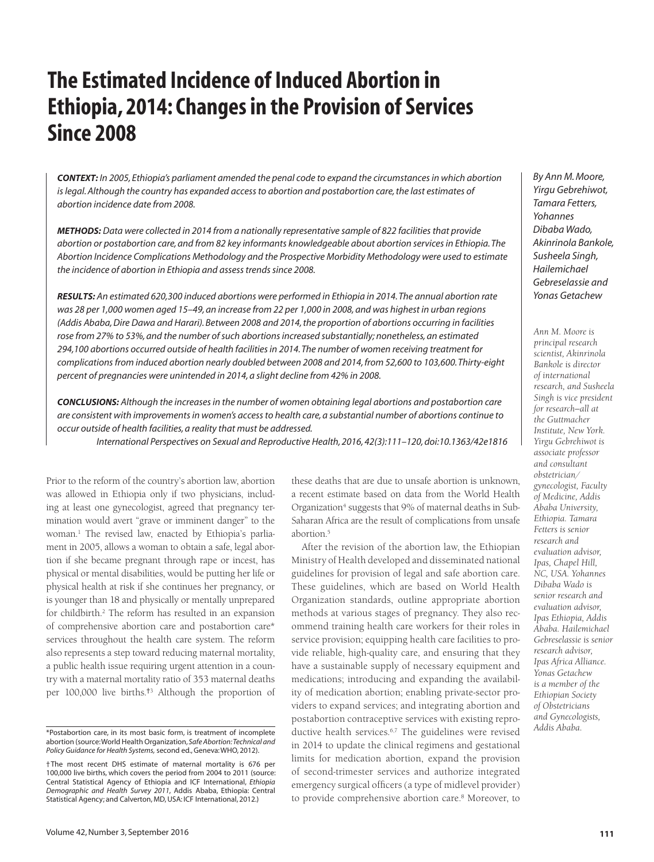# **The Estimated Incidence of Induced Abortion in Ethiopia, 2014: Changes in the Provision of Services Since 2008**

*CONTEXT: In 2005, Ethiopia's parliament amended the penal code to expand the circumstances in which abortion is legal. Although the country has expanded access to abortion and postabortion care, the last estimates of abortion incidence date from 2008.*

*METHODS: Data were collected in 2014 from a nationally representative sample of 822 facilities that provide abortion or postabortion care, and from 82 key informants knowledgeable about abortion services in Ethiopia. The Abortion Incidence Complications Methodology and the Prospective Morbidity Methodology were used to estimate the incidence of abortion in Ethiopia and assess trends since 2008.*

*RESULTS: An estimated 620,300 induced abortions were performed in Ethiopia in 2014. The annual abortion rate was 28 per 1,000 women aged 15–49, an increase from 22 per 1,000 in 2008, and was highest in urban regions (Addis Ababa, Dire Dawa and Harari). Between 2008 and 2014, the proportion of abortions occurring in facilities rose from 27% to 53%, and the number of such abortions increased substantially; nonetheless, an estimated 294,100 abortions occurred outside of health facilities in 2014. The number of women receiving treatment for complications from induced abortion nearly doubled between 2008 and 2014, from 52,600 to 103,600. Thirty-eight percent of pregnancies were unintended in 2014, a slight decline from 42% in 2008.*

*CONCLUSIONS: Although the increases in the number of women obtaining legal abortions and postabortion care are consistent with improvements in women's access to health care, a substantial number of abortions continue to occur outside of health facilities, a reality that must be addressed.*

*International Perspectives on Sexual and Reproductive Health, 2016, 42(3):111–120, doi:10.1363/42e1816*

Prior to the reform of the country's abortion law, abortion was allowed in Ethiopia only if two physicians, including at least one gynecologist, agreed that pregnancy termination would avert "grave or imminent danger" to the woman.1 The revised law, enacted by Ethiopia's parliament in 2005, allows a woman to obtain a safe, legal abortion if she became pregnant through rape or incest, has physical or mental disabilities, would be putting her life or physical health at risk if she continues her pregnancy, or is younger than 18 and physically or mentally unprepared for childbirth.<sup>2</sup> The reform has resulted in an expansion of comprehensive abortion care and postabortion care\* services throughout the health care system. The reform also represents a step toward reducing maternal mortality, a public health issue requiring urgent attention in a country with a maternal mortality ratio of 353 maternal deaths per 100,000 live births.†<sup>3</sup> Although the proportion of these deaths that are due to unsafe abortion is unknown, a recent estimate based on data from the World Health Organization<sup>4</sup> suggests that 9% of maternal deaths in Sub-Saharan Africa are the result of complications from unsafe abortion.<sup>5</sup>

After the revision of the abortion law, the Ethiopian Ministry of Health developed and disseminated national guidelines for provision of legal and safe abortion care. These guidelines, which are based on World Health Organization standards, outline appropriate abortion methods at various stages of pregnancy. They also recommend training health care workers for their roles in service provision; equipping health care facilities to provide reliable, high-quality care, and ensuring that they have a sustainable supply of necessary equipment and medications; introducing and expanding the availability of medication abortion; enabling private-sector providers to expand services; and integrating abortion and postabortion contraceptive services with existing reproductive health services.6,7 The guidelines were revised in 2014 to update the clinical regimens and gestational limits for medication abortion, expand the provision of second-trimester services and authorize integrated emergency surgical officers (a type of midlevel provider) to provide comprehensive abortion care.<sup>8</sup> Moreover, to *Ann M. Moore is principal research scientist, Akinrinola Bankole is director of international research, and Susheela Singh is vice president for research—all at the Guttmacher Institute, New York. Yirgu Gebrehiwot is associate professor and consultant obstetrician/ gynecologist, Faculty of Medicine, Addis Ababa University, Ethiopia. Tamara Fetters is senior research and evaluation advisor, Ipas, Chapel Hill, NC, USA. Yohannes Dibaba Wado is senior research and evaluation advisor, Ipas Ethiopia, Addis Ababa. Hailemichael Gebreselassie is senior research advisor, Ipas Africa Alliance. Yonas Getachew is a member of the Ethiopian Society of Obstetricians and Gynecologists, Addis Ababa.*

<sup>\*</sup>Postabortion care, in its most basic form, is treatment of incomplete abortion (source: World Health Organization, *Safe Abortion: Technical and Policy Guidance for Health Systems,* second ed., Geneva: WHO, 2012).

<sup>†</sup>The most recent DHS estimate of maternal mortality is 676 per 100,000 live births, which covers the period from 2004 to 2011 (source: Central Statistical Agency of Ethiopia and ICF International, *Ethiopia Demographic and Health Survey 2011*, Addis Ababa, Ethiopia: Central Statistical Agency; and Calverton, MD, USA: ICF International, 2012.)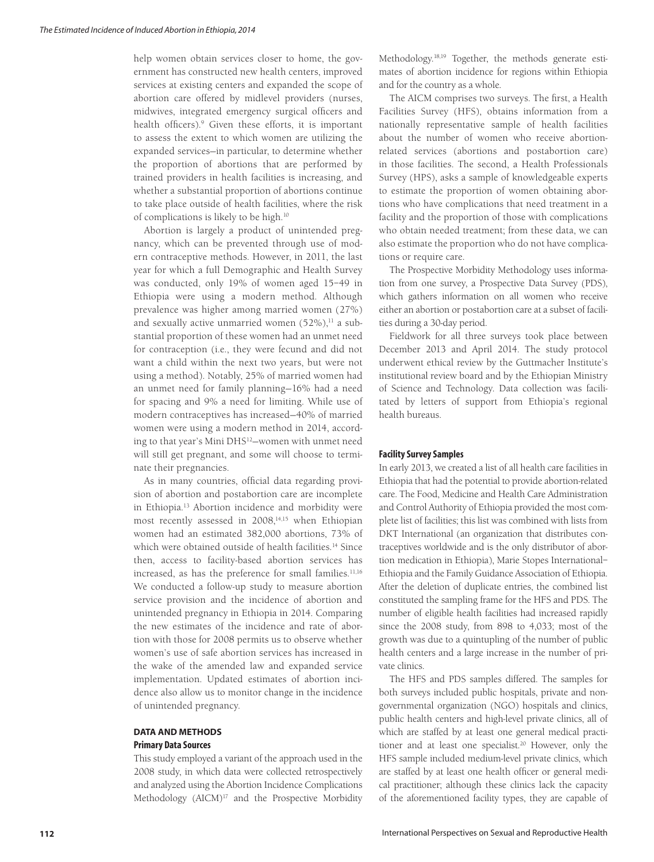help women obtain services closer to home, the government has constructed new health centers, improved services at existing centers and expanded the scope of abortion care offered by midlevel providers (nurses, midwives, integrated emergency surgical officers and health officers).9 Given these efforts, it is important to assess the extent to which women are utilizing the expanded services—in particular, to determine whether the proportion of abortions that are performed by trained providers in health facilities is increasing, and whether a substantial proportion of abortions continue to take place outside of health facilities, where the risk of complications is likely to be high.10

Abortion is largely a product of unintended pregnancy, which can be prevented through use of modern contraceptive methods. However, in 2011, the last year for which a full Demographic and Health Survey was conducted, only 19% of women aged 15–49 in Ethiopia were using a modern method. Although prevalence was higher among married women (27%) and sexually active unmarried women  $(52\%)$ ,<sup>11</sup> a substantial proportion of these women had an unmet need for contraception (i.e., they were fecund and did not want a child within the next two years, but were not using a method). Notably, 25% of married women had an unmet need for family planning—16% had a need for spacing and 9% a need for limiting. While use of modern contraceptives has increased—40% of married women were using a modern method in 2014, according to that year's Mini DHS12—women with unmet need will still get pregnant, and some will choose to terminate their pregnancies.

As in many countries, official data regarding provision of abortion and postabortion care are incomplete in Ethiopia.13 Abortion incidence and morbidity were most recently assessed in 2008,14,15 when Ethiopian women had an estimated 382,000 abortions, 73% of which were obtained outside of health facilities.<sup>14</sup> Since then, access to facility-based abortion services has increased, as has the preference for small families.11,16 We conducted a follow-up study to measure abortion service provision and the incidence of abortion and unintended pregnancy in Ethiopia in 2014. Comparing the new estimates of the incidence and rate of abortion with those for 2008 permits us to observe whether women's use of safe abortion services has increased in the wake of the amended law and expanded service implementation. Updated estimates of abortion incidence also allow us to monitor change in the incidence of unintended pregnancy.

# **DATA AND METHODS Primary Data Sources**

This study employed a variant of the approach used in the 2008 study, in which data were collected retrospectively and analyzed using the Abortion Incidence Complications Methodology (AICM)<sup>17</sup> and the Prospective Morbidity

Methodology.18,19 Together, the methods generate estimates of abortion incidence for regions within Ethiopia and for the country as a whole.

The AICM comprises two surveys. The first, a Health Facilities Survey (HFS), obtains information from a nationally representative sample of health facilities about the number of women who receive abortionrelated services (abortions and postabortion care) in those facilities. The second, a Health Professionals Survey (HPS), asks a sample of knowledgeable experts to estimate the proportion of women obtaining abortions who have complications that need treatment in a facility and the proportion of those with complications who obtain needed treatment; from these data, we can also estimate the proportion who do not have complications or require care.

The Prospective Morbidity Methodology uses information from one survey, a Prospective Data Survey (PDS), which gathers information on all women who receive either an abortion or postabortion care at a subset of facilities during a 30-day period.

Fieldwork for all three surveys took place between December 2013 and April 2014. The study protocol underwent ethical review by the Guttmacher Institute's institutional review board and by the Ethiopian Ministry of Science and Technology. Data collection was facilitated by letters of support from Ethiopia's regional health bureaus.

# **Facility Survey Samples**

In early 2013, we created a list of all health care facilities in Ethiopia that had the potential to provide abortion-related care. The Food, Medicine and Health Care Administration and Control Authority of Ethiopia provided the most complete list of facilities; this list was combined with lists from DKT International (an organization that distributes contraceptives worldwide and is the only distributor of abortion medication in Ethiopia), Marie Stopes International– Ethiopia and the Family Guidance Association of Ethiopia. After the deletion of duplicate entries, the combined list constituted the sampling frame for the HFS and PDS. The number of eligible health facilities had increased rapidly since the 2008 study, from 898 to 4,033; most of the growth was due to a quintupling of the number of public health centers and a large increase in the number of private clinics.

The HFS and PDS samples differed. The samples for both surveys included public hospitals, private and nongovernmental organization (NGO) hospitals and clinics, public health centers and high-level private clinics, all of which are staffed by at least one general medical practitioner and at least one specialist.<sup>20</sup> However, only the HFS sample included medium-level private clinics, which are staffed by at least one health officer or general medical practitioner; although these clinics lack the capacity of the aforementioned facility types, they are capable of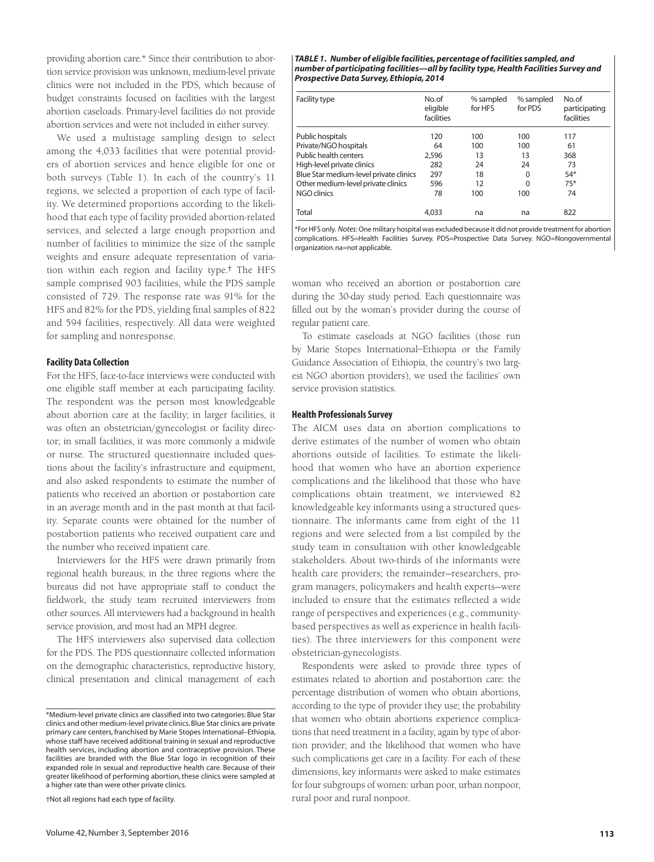providing abortion care.\* Since their contribution to abortion service provision was unknown, medium-level private clinics were not included in the PDS, which because of budget constraints focused on facilities with the largest abortion caseloads. Primary-level facilities do not provide abortion services and were not included in either survey.

We used a multistage sampling design to select among the 4,033 facilities that were potential providers of abortion services and hence eligible for one or both surveys (Table 1). In each of the country's 11 regions, we selected a proportion of each type of facility. We determined proportions according to the likelihood that each type of facility provided abortion-related services, and selected a large enough proportion and number of facilities to minimize the size of the sample weights and ensure adequate representation of variation within each region and facility type.† The HFS sample comprised 903 facilities, while the PDS sample consisted of 729. The response rate was 91% for the HFS and 82% for the PDS, yielding final samples of 822 and 594 facilities, respectively. All data were weighted for sampling and nonresponse.

# **Facility Data Collection**

For the HFS, face-to-face interviews were conducted with one eligible staff member at each participating facility. The respondent was the person most knowledgeable about abortion care at the facility; in larger facilities, it was often an obstetrician/gynecologist or facility director; in small facilities, it was more commonly a midwife or nurse. The structured questionnaire included questions about the facility's infrastructure and equipment, and also asked respondents to estimate the number of patients who received an abortion or postabortion care in an average month and in the past month at that facility. Separate counts were obtained for the number of postabortion patients who received outpatient care and the number who received inpatient care.

Interviewers for the HFS were drawn primarily from regional health bureaus; in the three regions where the bureaus did not have appropriate staff to conduct the fieldwork, the study team recruited interviewers from other sources. All interviewers had a background in health service provision, and most had an MPH degree.

The HFS interviewers also supervised data collection for the PDS. The PDS questionnaire collected information on the demographic characteristics, reproductive history, clinical presentation and clinical management of each

| Facility type                          | No.of<br>eligible<br>facilities | % sampled<br>for HFS | % sampled<br>for PDS | No.of<br>participating<br>facilities |
|----------------------------------------|---------------------------------|----------------------|----------------------|--------------------------------------|
| Public hospitals                       | 120                             | 100                  | 100                  | 117                                  |
| Private/NGO hospitals                  | 64                              | 100                  | 100                  | 61                                   |
| Public health centers                  | 2.596                           | 13                   | 13                   | 368                                  |
| High-level private clinics             | 282                             | 24                   | 24                   | 73                                   |
| Blue Star medium-level private clinics | 297                             | 18                   | $\Omega$             | 54*                                  |
| Other medium-level private clinics     | 596                             | 12                   | $\Omega$             | $75*$                                |
| NGO clinics                            | 78                              | 100                  | 100                  | 74                                   |
| Total                                  | 4,033                           | na                   | na                   | 822                                  |

\*For HFS only. *Notes:* One military hospital was excluded because it did not provide treatment for abortion complications. HFS=Health Facilities Survey. PDS=Prospective Data Survey. NGO=Nongovernmental organization. na=not applicable.

woman who received an abortion or postabortion care during the 30-day study period. Each questionnaire was filled out by the woman's provider during the course of regular patient care.

To estimate caseloads at NGO facilities (those run by Marie Stopes International–Ethiopia or the Family Guidance Association of Ethiopia, the country's two largest NGO abortion providers), we used the facilities' own service provision statistics.

# **Health Professionals Survey**

The AICM uses data on abortion complications to derive estimates of the number of women who obtain abortions outside of facilities. To estimate the likelihood that women who have an abortion experience complications and the likelihood that those who have complications obtain treatment, we interviewed 82 knowledgeable key informants using a structured questionnaire. The informants came from eight of the 11 regions and were selected from a list compiled by the study team in consultation with other knowledgeable stakeholders. About two-thirds of the informants were health care providers; the remainder—researchers, program managers, policymakers and health experts—were included to ensure that the estimates reflected a wide range of perspectives and experiences (e.g., communitybased perspectives as well as experience in health facilities). The three interviewers for this component were obstetrician-gynecologists.

Respondents were asked to provide three types of estimates related to abortion and postabortion care: the percentage distribution of women who obtain abortions, according to the type of provider they use; the probability that women who obtain abortions experience complications that need treatment in a facility, again by type of abortion provider; and the likelihood that women who have such complications get care in a facility. For each of these dimensions, key informants were asked to make estimates for four subgroups of women: urban poor, urban nonpoor, rural poor and rural nonpoor.

<sup>\*</sup>Medium-level private clinics are classified into two categories: Blue Star clinics and other medium-level private clinics. Blue Star clinics are private primary care centers, franchised by Marie Stopes International–Ethiopia, whose staff have received additional training in sexual and reproductive health services, including abortion and contraceptive provision. These facilities are branded with the Blue Star logo in recognition of their expanded role in sexual and reproductive health care. Because of their greater likelihood of performing abortion, these clinics were sampled at a higher rate than were other private clinics.

<sup>†</sup>Not all regions had each type of facility.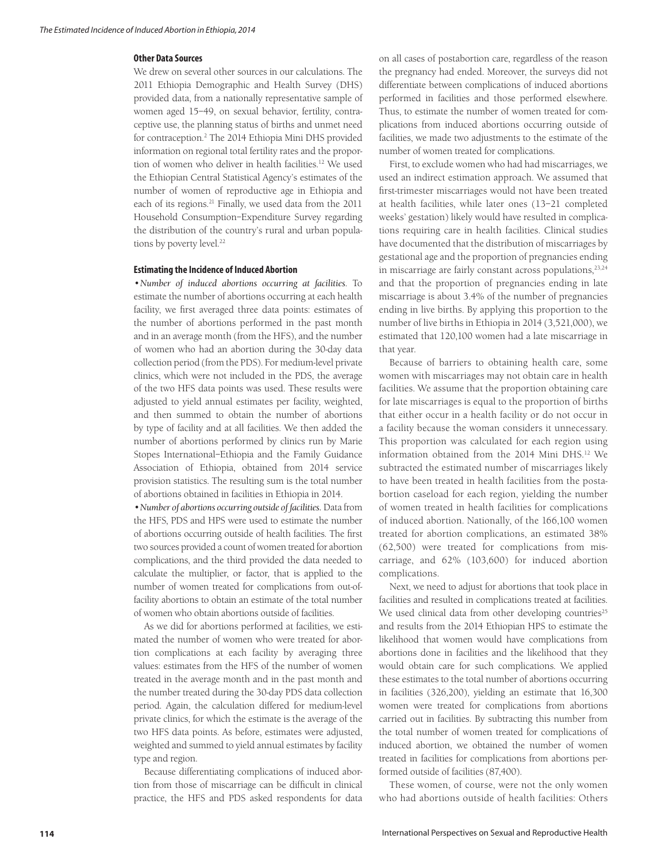# **Other Data Sources**

We drew on several other sources in our calculations. The 2011 Ethiopia Demographic and Health Survey (DHS) provided data, from a nationally representative sample of women aged 15–49, on sexual behavior, fertility, contraceptive use, the planning status of births and unmet need for contraception.2 The 2014 Ethiopia Mini DHS provided information on regional total fertility rates and the proportion of women who deliver in health facilities.12 We used the Ethiopian Central Statistical Agency's estimates of the number of women of reproductive age in Ethiopia and each of its regions.21 Finally, we used data from the 2011 Household Consumption–Expenditure Survey regarding the distribution of the country's rural and urban populations by poverty level.<sup>22</sup>

# **Estimating the Incidence of Induced Abortion**

•*Number of induced abortions occurring at facilities*. To estimate the number of abortions occurring at each health facility, we first averaged three data points: estimates of the number of abortions performed in the past month and in an average month (from the HFS), and the number of women who had an abortion during the 30-day data collection period (from the PDS). For medium-level private clinics, which were not included in the PDS, the average of the two HFS data points was used. These results were adjusted to yield annual estimates per facility, weighted, and then summed to obtain the number of abortions by type of facility and at all facilities. We then added the number of abortions performed by clinics run by Marie Stopes International–Ethiopia and the Family Guidance Association of Ethiopia, obtained from 2014 service provision statistics. The resulting sum is the total number of abortions obtained in facilities in Ethiopia in 2014.

•*Number of abortions occurring outside of facilities.* Data from the HFS, PDS and HPS were used to estimate the number of abortions occurring outside of health facilities. The first two sources provided a count of women treated for abortion complications, and the third provided the data needed to calculate the multiplier, or factor, that is applied to the number of women treated for complications from out-offacility abortions to obtain an estimate of the total number of women who obtain abortions outside of facilities.

As we did for abortions performed at facilities, we estimated the number of women who were treated for abortion complications at each facility by averaging three values: estimates from the HFS of the number of women treated in the average month and in the past month and the number treated during the 30-day PDS data collection period. Again, the calculation differed for medium-level private clinics, for which the estimate is the average of the two HFS data points. As before, estimates were adjusted, weighted and summed to yield annual estimates by facility type and region.

Because differentiating complications of induced abortion from those of miscarriage can be difficult in clinical practice, the HFS and PDS asked respondents for data

on all cases of postabortion care, regardless of the reason the pregnancy had ended. Moreover, the surveys did not differentiate between complications of induced abortions performed in facilities and those performed elsewhere. Thus, to estimate the number of women treated for complications from induced abortions occurring outside of facilities, we made two adjustments to the estimate of the number of women treated for complications.

First, to exclude women who had had miscarriages, we used an indirect estimation approach. We assumed that first-trimester miscarriages would not have been treated at health facilities, while later ones (13–21 completed weeks' gestation) likely would have resulted in complications requiring care in health facilities. Clinical studies have documented that the distribution of miscarriages by gestational age and the proportion of pregnancies ending in miscarriage are fairly constant across populations,<sup>23,24</sup> and that the proportion of pregnancies ending in late miscarriage is about 3.4% of the number of pregnancies ending in live births. By applying this proportion to the number of live births in Ethiopia in 2014 (3,521,000), we estimated that 120,100 women had a late miscarriage in that year.

Because of barriers to obtaining health care, some women with miscarriages may not obtain care in health facilities. We assume that the proportion obtaining care for late miscarriages is equal to the proportion of births that either occur in a health facility or do not occur in a facility because the woman considers it unnecessary. This proportion was calculated for each region using information obtained from the 2014 Mini DHS.12 We subtracted the estimated number of miscarriages likely to have been treated in health facilities from the postabortion caseload for each region, yielding the number of women treated in health facilities for complications of induced abortion. Nationally, of the 166,100 women treated for abortion complications, an estimated 38% (62,500) were treated for complications from miscarriage, and 62% (103,600) for induced abortion complications.

Next, we need to adjust for abortions that took place in facilities and resulted in complications treated at facilities. We used clinical data from other developing countries<sup>25</sup> and results from the 2014 Ethiopian HPS to estimate the likelihood that women would have complications from abortions done in facilities and the likelihood that they would obtain care for such complications. We applied these estimates to the total number of abortions occurring in facilities (326,200), yielding an estimate that 16,300 women were treated for complications from abortions carried out in facilities. By subtracting this number from the total number of women treated for complications of induced abortion, we obtained the number of women treated in facilities for complications from abortions performed outside of facilities (87,400).

These women, of course, were not the only women who had abortions outside of health facilities: Others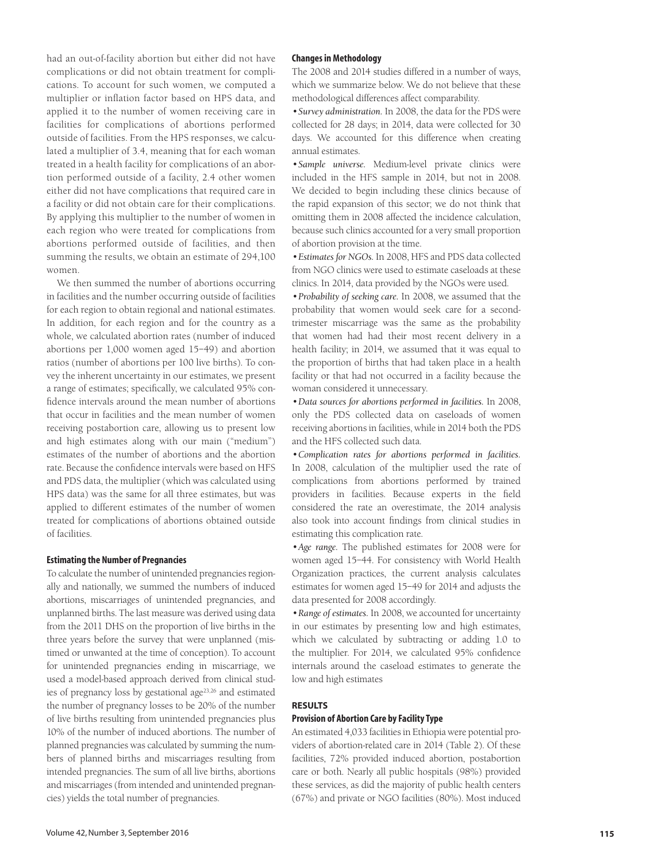had an out-of-facility abortion but either did not have complications or did not obtain treatment for complications. To account for such women, we computed a multiplier or inflation factor based on HPS data, and applied it to the number of women receiving care in facilities for complications of abortions performed outside of facilities. From the HPS responses, we calculated a multiplier of 3.4, meaning that for each woman treated in a health facility for complications of an abortion performed outside of a facility, 2.4 other women either did not have complications that required care in a facility or did not obtain care for their complications. By applying this multiplier to the number of women in each region who were treated for complications from abortions performed outside of facilities, and then summing the results, we obtain an estimate of 294,100 women.

We then summed the number of abortions occurring in facilities and the number occurring outside of facilities for each region to obtain regional and national estimates. In addition, for each region and for the country as a whole, we calculated abortion rates (number of induced abortions per 1,000 women aged 15–49) and abortion ratios (number of abortions per 100 live births). To convey the inherent uncertainty in our estimates, we present a range of estimates; specifically, we calculated 95% confidence intervals around the mean number of abortions that occur in facilities and the mean number of women receiving postabortion care, allowing us to present low and high estimates along with our main ("medium") estimates of the number of abortions and the abortion rate. Because the confidence intervals were based on HFS and PDS data, the multiplier (which was calculated using HPS data) was the same for all three estimates, but was applied to different estimates of the number of women treated for complications of abortions obtained outside of facilities.

# **Estimating the Number of Pregnancies**

To calculate the number of unintended pregnancies regionally and nationally, we summed the numbers of induced abortions, miscarriages of unintended pregnancies, and unplanned births. The last measure was derived using data from the 2011 DHS on the proportion of live births in the three years before the survey that were unplanned (mistimed or unwanted at the time of conception). To account for unintended pregnancies ending in miscarriage, we used a model-based approach derived from clinical studies of pregnancy loss by gestational age23,26 and estimated the number of pregnancy losses to be 20% of the number of live births resulting from unintended pregnancies plus 10% of the number of induced abortions. The number of planned pregnancies was calculated by summing the numbers of planned births and miscarriages resulting from intended pregnancies. The sum of all live births, abortions and miscarriages (from intended and unintended pregnancies) yields the total number of pregnancies.

# **Changes in Methodology**

The 2008 and 2014 studies differed in a number of ways, which we summarize below. We do not believe that these methodological differences affect comparability.

•*Survey administration.* In 2008, the data for the PDS were collected for 28 days; in 2014, data were collected for 30 days. We accounted for this difference when creating annual estimates.

•*Sample universe.* Medium-level private clinics were included in the HFS sample in 2014, but not in 2008. We decided to begin including these clinics because of the rapid expansion of this sector; we do not think that omitting them in 2008 affected the incidence calculation, because such clinics accounted for a very small proportion of abortion provision at the time.

•*Estimates for NGOs.* In 2008, HFS and PDS data collected from NGO clinics were used to estimate caseloads at these clinics. In 2014, data provided by the NGOs were used.

•*Probability of seeking care.* In 2008, we assumed that the probability that women would seek care for a secondtrimester miscarriage was the same as the probability that women had had their most recent delivery in a health facility; in 2014, we assumed that it was equal to the proportion of births that had taken place in a health facility or that had not occurred in a facility because the woman considered it unnecessary.

•*Data sources for abortions performed in facilities.* In 2008, only the PDS collected data on caseloads of women receiving abortions in facilities, while in 2014 both the PDS and the HFS collected such data.

•*Complication rates for abortions performed in facilities.* In 2008, calculation of the multiplier used the rate of complications from abortions performed by trained providers in facilities. Because experts in the field considered the rate an overestimate, the 2014 analysis also took into account findings from clinical studies in estimating this complication rate.

•*Age range.* The published estimates for 2008 were for women aged 15–44. For consistency with World Health Organization practices, the current analysis calculates estimates for women aged 15–49 for 2014 and adjusts the data presented for 2008 accordingly.

•*Range of estimates.* In 2008, we accounted for uncertainty in our estimates by presenting low and high estimates, which we calculated by subtracting or adding 1.0 to the multiplier. For 2014, we calculated 95% confidence internals around the caseload estimates to generate the low and high estimates

# **RESULTS**

## **Provision of Abortion Care by Facility Type**

An estimated 4,033 facilities in Ethiopia were potential providers of abortion-related care in 2014 (Table 2). Of these facilities, 72% provided induced abortion, postabortion care or both. Nearly all public hospitals (98%) provided these services, as did the majority of public health centers (67%) and private or NGO facilities (80%). Most induced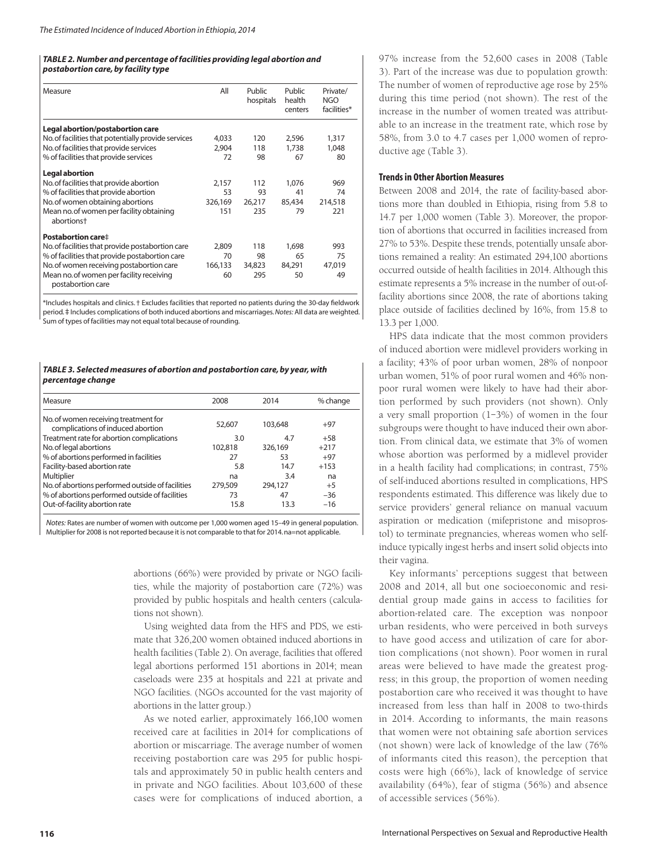#### *TABLE 2. Number and percentage of facilities providing legal abortion and postabortion care, by facility type*

| Measure                                                            | All     | Public<br>hospitals | Public<br>health<br>centers | Private/<br><b>NGO</b><br>facilities* |
|--------------------------------------------------------------------|---------|---------------------|-----------------------------|---------------------------------------|
| Legal abortion/postabortion care                                   |         |                     |                             |                                       |
| No. of facilities that potentially provide services                | 4.033   | 120                 | 2,596                       | 1,317                                 |
| No. of facilities that provide services                            | 2.904   | 118                 | 1,738                       | 1.048                                 |
| % of facilities that provide services                              | 72      | 98                  | 67                          | 80                                    |
| <b>Legal abortion</b>                                              |         |                     |                             |                                       |
| No. of facilities that provide abortion                            | 2.157   | 112                 | 1.076                       | 969                                   |
| % of facilities that provide abortion                              | 53      | 93                  | 41                          | 74                                    |
| No. of women obtaining abortions                                   | 326,169 | 26,217              | 85,434                      | 214,518                               |
| Mean no. of women per facility obtaining<br>abortions <sup>+</sup> | 151     | 235                 | 79                          | 221                                   |
| <b>Postabortion care#</b>                                          |         |                     |                             |                                       |
| No. of facilities that provide postabortion care                   | 2,809   | 118                 | 1,698                       | 993                                   |
| % of facilities that provide postabortion care                     | 70      | 98                  | 65                          | 75                                    |
| No. of women receiving postabortion care                           | 166,133 | 34,823              | 84,291                      | 47,019                                |
| Mean no. of women per facility receiving<br>postabortion care      | 60      | 295                 | 50                          | 49                                    |

\*Includes hospitals and clinics. † Excludes facilities that reported no patients during the 30-day fieldwork period. ‡ Includes complications of both induced abortions and miscarriages. *Notes:* All data are weighted. Sum of types of facilities may not equal total because of rounding.

#### *TABLE 3. Selected measures of abortion and postabortion care, by year, with percentage change*

| Measure                                                                   | 2008    | 2014    | % change |
|---------------------------------------------------------------------------|---------|---------|----------|
| No. of women receiving treatment for<br>complications of induced abortion | 52,607  | 103,648 | $+97$    |
| Treatment rate for abortion complications                                 | 3.0     | 4.7     | $+58$    |
| No. of legal abortions                                                    | 102,818 | 326,169 | $+217$   |
| % of abortions performed in facilities                                    | 27      | 53      | $+97$    |
| Facility-based abortion rate                                              | 5.8     | 14.7    | $+153$   |
| Multiplier                                                                | na      | 3.4     | na       |
| No. of abortions performed outside of facilities                          | 279,509 | 294,127 | $+5$     |
| % of abortions performed outside of facilities                            | 73      | 47      | $-36$    |
| Out-of-facility abortion rate                                             | 15.8    | 13.3    | $-16$    |

*Notes:* Rates are number of women with outcome per 1,000 women aged 15–49 in general population. Multiplier for 2008 is not reported because it is not comparable to that for 2014. na=not applicable.

> abortions (66%) were provided by private or NGO facilities, while the majority of postabortion care (72%) was provided by public hospitals and health centers (calculations not shown).

> Using weighted data from the HFS and PDS, we estimate that 326,200 women obtained induced abortions in health facilities (Table 2). On average, facilities that offered legal abortions performed 151 abortions in 2014; mean caseloads were 235 at hospitals and 221 at private and NGO facilities. (NGOs accounted for the vast majority of abortions in the latter group.)

> As we noted earlier, approximately 166,100 women received care at facilities in 2014 for complications of abortion or miscarriage. The average number of women receiving postabortion care was 295 for public hospitals and approximately 50 in public health centers and in private and NGO facilities. About 103,600 of these cases were for complications of induced abortion, a

97% increase from the 52,600 cases in 2008 (Table 3). Part of the increase was due to population growth: The number of women of reproductive age rose by 25% during this time period (not shown). The rest of the increase in the number of women treated was attributable to an increase in the treatment rate, which rose by 58%, from 3.0 to 4.7 cases per 1,000 women of reproductive age (Table 3).

# **Trends in Other Abortion Measures**

Between 2008 and 2014, the rate of facility-based abortions more than doubled in Ethiopia, rising from 5.8 to 14.7 per 1,000 women (Table 3). Moreover, the proportion of abortions that occurred in facilities increased from 27% to 53%. Despite these trends, potentially unsafe abortions remained a reality: An estimated 294,100 abortions occurred outside of health facilities in 2014. Although this estimate represents a 5% increase in the number of out-offacility abortions since 2008, the rate of abortions taking place outside of facilities declined by 16%, from 15.8 to 13.3 per 1,000.

HPS data indicate that the most common providers of induced abortion were midlevel providers working in a facility; 43% of poor urban women, 28% of nonpoor urban women, 51% of poor rural women and 46% nonpoor rural women were likely to have had their abortion performed by such providers (not shown). Only a very small proportion (1–3%) of women in the four subgroups were thought to have induced their own abortion. From clinical data, we estimate that 3% of women whose abortion was performed by a midlevel provider in a health facility had complications; in contrast, 75% of self-induced abortions resulted in complications, HPS respondents estimated. This difference was likely due to service providers' general reliance on manual vacuum aspiration or medication (mifepristone and misoprostol) to terminate pregnancies, whereas women who selfinduce typically ingest herbs and insert solid objects into their vagina.

Key informants' perceptions suggest that between 2008 and 2014, all but one socioeconomic and residential group made gains in access to facilities for abortion-related care. The exception was nonpoor urban residents, who were perceived in both surveys to have good access and utilization of care for abortion complications (not shown). Poor women in rural areas were believed to have made the greatest progress; in this group, the proportion of women needing postabortion care who received it was thought to have increased from less than half in 2008 to two-thirds in 2014. According to informants, the main reasons that women were not obtaining safe abortion services (not shown) were lack of knowledge of the law (76% of informants cited this reason), the perception that costs were high (66%), lack of knowledge of service availability (64%), fear of stigma (56%) and absence of accessible services (56%).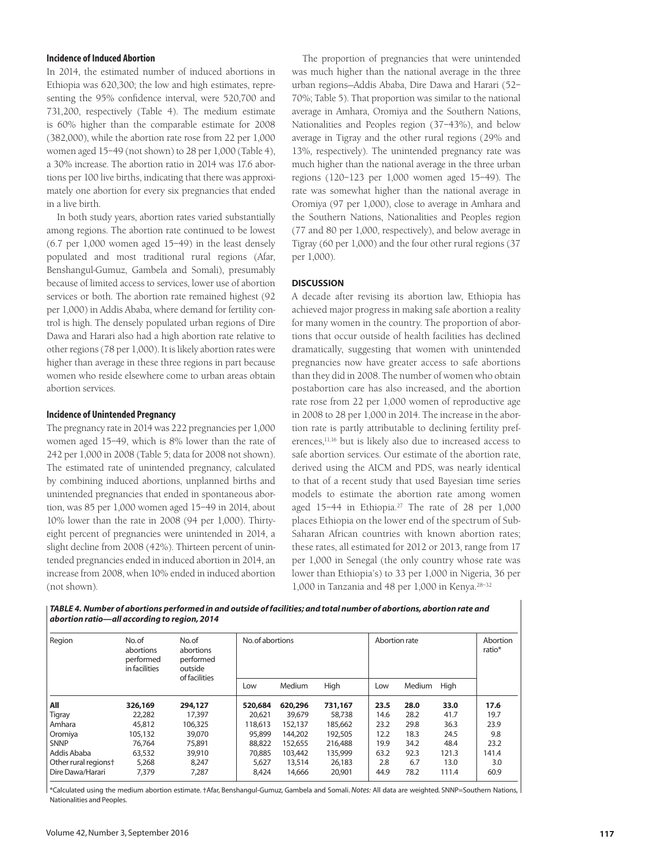# **Incidence of Induced Abortion**

In 2014, the estimated number of induced abortions in Ethiopia was 620,300; the low and high estimates, representing the 95% confidence interval, were 520,700 and 731,200, respectively (Table 4). The medium estimate is 60% higher than the comparable estimate for 2008 (382,000), while the abortion rate rose from 22 per 1,000 women aged 15–49 (not shown) to 28 per 1,000 (Table 4), a 30% increase. The abortion ratio in 2014 was 17.6 abortions per 100 live births, indicating that there was approximately one abortion for every six pregnancies that ended in a live birth.

In both study years, abortion rates varied substantially among regions. The abortion rate continued to be lowest (6.7 per 1,000 women aged 15–49) in the least densely populated and most traditional rural regions (Afar, Benshangul-Gumuz, Gambela and Somali), presumably because of limited access to services, lower use of abortion services or both. The abortion rate remained highest (92 per 1,000) in Addis Ababa, where demand for fertility control is high. The densely populated urban regions of Dire Dawa and Harari also had a high abortion rate relative to other regions (78 per 1,000). It is likely abortion rates were higher than average in these three regions in part because women who reside elsewhere come to urban areas obtain abortion services.

# **Incidence of Unintended Pregnancy**

The pregnancy rate in 2014 was 222 pregnancies per 1,000 women aged 15–49, which is 8% lower than the rate of 242 per 1,000 in 2008 (Table 5; data for 2008 not shown). The estimated rate of unintended pregnancy, calculated by combining induced abortions, unplanned births and unintended pregnancies that ended in spontaneous abortion, was 85 per 1,000 women aged 15–49 in 2014, about 10% lower than the rate in 2008 (94 per 1,000). Thirtyeight percent of pregnancies were unintended in 2014, a slight decline from 2008 (42%). Thirteen percent of unintended pregnancies ended in induced abortion in 2014, an increase from 2008, when 10% ended in induced abortion (not shown).

The proportion of pregnancies that were unintended was much higher than the national average in the three urban regions—Addis Ababa, Dire Dawa and Harari (52– 70%; Table 5). That proportion was similar to the national average in Amhara, Oromiya and the Southern Nations, Nationalities and Peoples region (37–43%), and below average in Tigray and the other rural regions (29% and 13%, respectively). The unintended pregnancy rate was much higher than the national average in the three urban regions (120–123 per 1,000 women aged 15–49). The rate was somewhat higher than the national average in Oromiya (97 per 1,000), close to average in Amhara and the Southern Nations, Nationalities and Peoples region (77 and 80 per 1,000, respectively), and below average in Tigray (60 per 1,000) and the four other rural regions (37 per 1,000).

## **DISCUSSION**

A decade after revising its abortion law, Ethiopia has achieved major progress in making safe abortion a reality for many women in the country. The proportion of abortions that occur outside of health facilities has declined dramatically, suggesting that women with unintended pregnancies now have greater access to safe abortions than they did in 2008. The number of women who obtain postabortion care has also increased, and the abortion rate rose from 22 per 1,000 women of reproductive age in 2008 to 28 per 1,000 in 2014. The increase in the abortion rate is partly attributable to declining fertility preferences,<sup>11,16</sup> but is likely also due to increased access to safe abortion services. Our estimate of the abortion rate, derived using the AICM and PDS, was nearly identical to that of a recent study that used Bayesian time series models to estimate the abortion rate among women aged 15-44 in Ethiopia.<sup>27</sup> The rate of 28 per 1,000 places Ethiopia on the lower end of the spectrum of Sub-Saharan African countries with known abortion rates; these rates, all estimated for 2012 or 2013, range from 17 per 1,000 in Senegal (the only country whose rate was lower than Ethiopia's) to 33 per 1,000 in Nigeria, 36 per 1,000 in Tanzania and 48 per 1,000 in Kenya.28–32

| TABLE 4. Number of abortions performed in and outside of facilities; and total number of abortions, abortion rate and |
|-----------------------------------------------------------------------------------------------------------------------|
| abortion ratio—all according to region, 2014                                                                          |

| Region               | No.of<br>abortions<br>performed<br>in facilities | No.of<br>abortions<br>performed<br>outside<br>of facilities |         | No. of abortions |         |      | Abortion rate |       |       |
|----------------------|--------------------------------------------------|-------------------------------------------------------------|---------|------------------|---------|------|---------------|-------|-------|
|                      |                                                  |                                                             | Low     | Medium           | High    | Low  | Medium        | High  |       |
| All                  | 326,169                                          | 294,127                                                     | 520,684 | 620,296          | 731,167 | 23.5 | 28.0          | 33.0  | 17.6  |
| <b>Tigray</b>        | 22,282                                           | 17,397                                                      | 20.621  | 39,679           | 58,738  | 14.6 | 28.2          | 41.7  | 19.7  |
| Amhara               | 45,812                                           | 106,325                                                     | 118,613 | 152,137          | 185,662 | 23.2 | 29.8          | 36.3  | 23.9  |
| Oromiva              | 105,132                                          | 39,070                                                      | 95,899  | 144,202          | 192,505 | 12.2 | 18.3          | 24.5  | 9.8   |
| <b>SNNP</b>          | 76.764                                           | 75,891                                                      | 88,822  | 152,655          | 216,488 | 19.9 | 34.2          | 48.4  | 23.2  |
| Addis Ababa          | 63,532                                           | 39,910                                                      | 70,885  | 103,442          | 135,999 | 63.2 | 92.3          | 121.3 | 141.4 |
| Other rural regions+ | 5,268                                            | 8.247                                                       | 5.627   | 13,514           | 26,183  | 2.8  | 6.7           | 13.0  | 3.0   |
| Dire Dawa/Harari     | 7.379                                            | 7.287                                                       | 8.424   | 14,666           | 20,901  | 44.9 | 78.2          | 111.4 | 60.9  |

\*Calculated using the medium abortion estimate. †Afar, Benshangul-Gumuz, Gambela and Somali. *Notes:* All data are weighted. SNNP=Southern Nations, Nationalities and Peoples.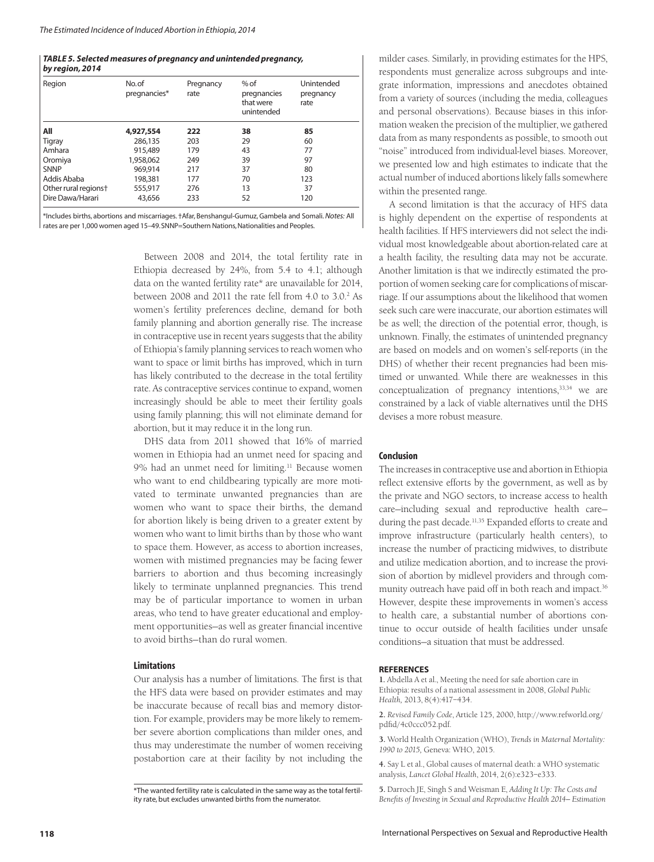*TABLE 5. Selected measures of pregnancy and unintended pregnancy, by region, 2014*

| Region                           | No.of<br>pregnancies* | Pregnancy<br>rate | $%$ of<br>pregnancies<br>that were<br>unintended | Unintended<br>pregnancy<br>rate |
|----------------------------------|-----------------------|-------------------|--------------------------------------------------|---------------------------------|
| All                              | 4,927,554             | 222               | 38                                               | 85                              |
| <b>Tigray</b>                    | 286.135               | 203               | 29                                               | 60                              |
| Amhara                           | 915,489               | 179               | 43                                               | 77                              |
| Oromiya                          | 1,958,062             | 249               | 39                                               | 97                              |
| <b>SNNP</b>                      | 969,914               | 217               | 37                                               | 80                              |
| Addis Ababa                      | 198,381               | 177               | 70                                               | 123                             |
| Other rural regions <sup>+</sup> | 555,917               | 276               | 13                                               | 37                              |
| Dire Dawa/Harari                 | 43,656                | 233               | 52                                               | 120                             |

\*Includes births, abortions and miscarriages. †Afar, Benshangul-Gumuz, Gambela and Somali. *Notes:* All rates are per 1,000 women aged 15–49. SNNP=Southern Nations, Nationalities and Peoples.

> Between 2008 and 2014, the total fertility rate in Ethiopia decreased by 24%, from 5.4 to 4.1; although data on the wanted fertility rate\* are unavailable for 2014, between 2008 and 2011 the rate fell from 4.0 to 3.0.2 As women's fertility preferences decline, demand for both family planning and abortion generally rise. The increase in contraceptive use in recent years suggests that the ability of Ethiopia's family planning services to reach women who want to space or limit births has improved, which in turn has likely contributed to the decrease in the total fertility rate. As contraceptive services continue to expand, women increasingly should be able to meet their fertility goals using family planning; this will not eliminate demand for abortion, but it may reduce it in the long run.

> DHS data from 2011 showed that 16% of married women in Ethiopia had an unmet need for spacing and 9% had an unmet need for limiting.11 Because women who want to end childbearing typically are more motivated to terminate unwanted pregnancies than are women who want to space their births, the demand for abortion likely is being driven to a greater extent by women who want to limit births than by those who want to space them. However, as access to abortion increases, women with mistimed pregnancies may be facing fewer barriers to abortion and thus becoming increasingly likely to terminate unplanned pregnancies. This trend may be of particular importance to women in urban areas, who tend to have greater educational and employment opportunities—as well as greater financial incentive to avoid births—than do rural women.

#### **Limitations**

Our analysis has a number of limitations. The first is that the HFS data were based on provider estimates and may be inaccurate because of recall bias and memory distortion. For example, providers may be more likely to remember severe abortion complications than milder ones, and thus may underestimate the number of women receiving postabortion care at their facility by not including the milder cases. Similarly, in providing estimates for the HPS, respondents must generalize across subgroups and integrate information, impressions and anecdotes obtained from a variety of sources (including the media, colleagues and personal observations). Because biases in this information weaken the precision of the multiplier, we gathered data from as many respondents as possible, to smooth out "noise" introduced from individual-level biases. Moreover, we presented low and high estimates to indicate that the actual number of induced abortions likely falls somewhere within the presented range.

A second limitation is that the accuracy of HFS data is highly dependent on the expertise of respondents at health facilities. If HFS interviewers did not select the individual most knowledgeable about abortion-related care at a health facility, the resulting data may not be accurate. Another limitation is that we indirectly estimated the proportion of women seeking care for complications of miscarriage. If our assumptions about the likelihood that women seek such care were inaccurate, our abortion estimates will be as well; the direction of the potential error, though, is unknown. Finally, the estimates of unintended pregnancy are based on models and on women's self-reports (in the DHS) of whether their recent pregnancies had been mistimed or unwanted. While there are weaknesses in this conceptualization of pregnancy intentions, 33,34 we are constrained by a lack of viable alternatives until the DHS devises a more robust measure.

# **Conclusion**

The increases in contraceptive use and abortion in Ethiopia reflect extensive efforts by the government, as well as by the private and NGO sectors, to increase access to health care—including sexual and reproductive health care during the past decade.<sup>11,35</sup> Expanded efforts to create and improve infrastructure (particularly health centers), to increase the number of practicing midwives, to distribute and utilize medication abortion, and to increase the provision of abortion by midlevel providers and through community outreach have paid off in both reach and impact.<sup>36</sup> However, despite these improvements in women's access to health care, a substantial number of abortions continue to occur outside of health facilities under unsafe conditions—a situation that must be addressed.

#### **REFERENCES**

**1.** Abdella A et al., Meeting the need for safe abortion care in Ethiopia: results of a national assessment in 2008, *Global Public Health,* 2013, 8(4):417–434.

**2.** *Revised Family Code*, Article 125, 2000, http://www.refworld.org/ pdfid/4c0ccc052.pdf.

**3.** World Health Organization (WHO), *Trends in Maternal Mortality: 1990 to 2015,* Geneva: WHO, 2015.

**4.** Say L et al., Global causes of maternal death: a WHO systematic analysis, *Lancet Global Health*, 2014, 2(6):e323–e333.

**5.** Darroch JE, Singh S and Weisman E, *Adding It Up: The Costs and Benefits of Investing in Sexual and Reproductive Health 2014— Estimation* 

<sup>\*</sup>The wanted fertility rate is calculated in the same way as the total fertility rate, but excludes unwanted births from the numerator.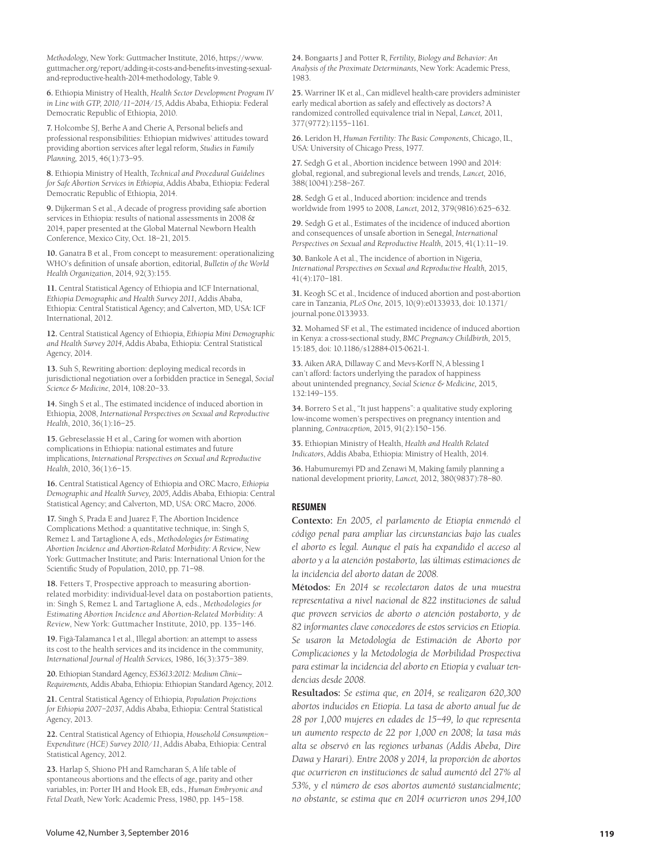*Methodology,* New York: Guttmacher Institute, 2016, https://www. guttmacher.org/report/adding-it-costs-and-benefits-investing-sexualand-reproductive-health-2014-methodology, Table 9.

**6.** Ethiopia Ministry of Health, *Health Sector Development Program IV in Line with GTP, 2010/11–2014/15*, Addis Ababa, Ethiopia: Federal Democratic Republic of Ethiopia, 2010.

**7.** Holcombe SJ, Berhe A and Cherie A, Personal beliefs and professional responsibilities: Ethiopian midwives' attitudes toward providing abortion services after legal reform, *Studies in Family Planning,* 2015, 46(1):73–95.

**8.** Ethiopia Ministry of Health, *Technical and Procedural Guidelines for Safe Abortion Services in Ethiopia*, Addis Ababa, Ethiopia: Federal Democratic Republic of Ethiopia, 2014.

**9.** Dijkerman S et al., A decade of progress providing safe abortion services in Ethiopia: results of national assessments in 2008 & 2014, paper presented at the Global Maternal Newborn Health Conference, Mexico City, Oct. 18–21, 2015.

**10.** Ganatra B et al., From concept to measurement: operationalizing WHO's definition of unsafe abortion, editorial, *Bulletin of the World Health Organization*, 2014, 92(3):155.

**11.** Central Statistical Agency of Ethiopia and ICF International, *Ethiopia Demographic and Health Survey 2011*, Addis Ababa, Ethiopia: Central Statistical Agency; and Calverton, MD, USA: ICF International, 2012.

**12.** Central Statistical Agency of Ethiopia, *Ethiopia Mini Demographic and Health Survey 2014*, Addis Ababa, Ethiopia: Central Statistical Agency, 2014.

**13.** Suh S, Rewriting abortion: deploying medical records in jurisdictional negotiation over a forbidden practice in Senegal, *Social Science & Medicine*, 2014, 108:20–33.

**14.** Singh S et al., The estimated incidence of induced abortion in Ethiopia, 2008, *International Perspectives on Sexual and Reproductive Health*, 2010, 36(1):16–25.

**15.** Gebreselassie H et al., Caring for women with abortion complications in Ethiopia: national estimates and future implications, *International Perspectives on Sexual and Reproductive Health*, 2010, 36(1):6–15.

**16.** Central Statistical Agency of Ethiopia and ORC Macro, *Ethiopia Demographic and Health Survey, 2005*, Addis Ababa, Ethiopia: Central Statistical Agency; and Calverton, MD, USA: ORC Macro, 2006.

**17.** Singh S, Prada E and Juarez F, The Abortion Incidence Complications Method: a quantitative technique, in: Singh S, Remez L and Tartaglione A, eds., *Methodologies for Estimating Abortion Incidence and Abortion-Related Morbidity: A Review*, New York: Guttmacher Institute; and Paris: International Union for the Scientific Study of Population, 2010, pp. 71–98.

**18.** Fetters T, Prospective approach to measuring abortionrelated morbidity: individual-level data on postabortion patients, in: Singh S, Remez L and Tartaglione A, eds., *Methodologies for Estimating Abortion Incidence and Abortion-Related Morbidity: A Review*, New York: Guttmacher Institute, 2010, pp. 135–146.

**19.** Figà-Talamanca I et al., Illegal abortion: an attempt to assess its cost to the health services and its incidence in the community, *International Journal of Health Services,* 1986, 16(3):375–389.

**20.** Ethiopian Standard Agency, *ES3613:2012: Medium Clinic— Requirements,* Addis Ababa, Ethiopia: Ethiopian Standard Agency, 2012.

**21.** Central Statistical Agency of Ethiopia, *Population Projections for Ethiopia 2007–2037*, Addis Ababa, Ethiopia: Central Statistical Agency, 2013.

**22.** Central Statistical Agency of Ethiopia, *Household Consumption– Expenditure (HCE) Survey 2010/11*, Addis Ababa, Ethiopia: Central Statistical Agency, 2012.

**23.** Harlap S, Shiono PH and Ramcharan S, A life table of spontaneous abortions and the effects of age, parity and other variables, in: Porter IH and Hook EB, eds., *Human Embryonic and Fetal Death,* New York: Academic Press, 1980, pp. 145–158.

**24.** Bongaarts J and Potter R, *Fertility, Biology and Behavior: An Analysis of the Proximate Determinants*, New York: Academic Press, 1983.

**25.** Warriner IK et al., Can midlevel health-care providers administer early medical abortion as safely and effectively as doctors? A randomized controlled equivalence trial in Nepal, *Lancet,* 2011, 377(9772):1155–1161.

**26.** Leridon H, *Human Fertility: The Basic Components*, Chicago, IL, USA: University of Chicago Press, 1977.

**27.** Sedgh G et al., Abortion incidence between 1990 and 2014: global, regional, and subregional levels and trends, *Lancet,* 2016, 388(10041):258–267.

**28.** Sedgh G et al., Induced abortion: incidence and trends worldwide from 1995 to 2008, *Lancet,* 2012, 379(9816):625–632.

**29.** Sedgh G et al., Estimates of the incidence of induced abortion and consequences of unsafe abortion in Senegal, *International Perspectives on Sexual and Reproductive Health,* 2015, 41(1):11–19.

**30.** Bankole A et al., The incidence of abortion in Nigeria, *International Perspectives on Sexual and Reproductive Health,* 2015, 41(4):170–181.

**31.** Keogh SC et al., Incidence of induced abortion and post-abortion care in Tanzania, *PLoS One,* 2015, 10(9):e0133933, doi: 10.1371/ journal.pone.0133933.

**32.** Mohamed SF et al., The estimated incidence of induced abortion in Kenya: a cross-sectional study, *BMC Pregnancy Childbirth,* 2015, 15:185, doi: 10.1186/s12884-015-0621-1.

**33.** Aiken ARA, Dillaway C and Mevs-Korff N, A blessing I can't afford: factors underlying the paradox of happiness about unintended pregnancy, *Social Science & Medicine,* 2015, 132:149–155.

**34.** Borrero S et al., "It just happens": a qualitative study exploring low-income women's perspectives on pregnancy intention and planning, *Contraception,* 2015, 91(2):150–156.

**35.** Ethiopian Ministry of Health, *Health and Health Related Indicators*, Addis Ababa, Ethiopia: Ministry of Health, 2014.

**36.** Habumuremyi PD and Zenawi M, Making family planning a national development priority, *Lancet,* 2012, 380(9837):78–80.

## **RESUMEN**

**Contexto:** *En 2005, el parlamento de Etiopía enmendó el código penal para ampliar las circunstancias bajo las cuales el aborto es legal. Aunque el país ha expandido el acceso al aborto y a la atención postaborto, las últimas estimaciones de la incidencia del aborto datan de 2008.*

**Métodos:** *En 2014 se recolectaron datos de una muestra representativa a nivel nacional de 822 instituciones de salud que proveen servicios de aborto o atención postaborto, y de 82 informantes clave conocedores de estos servicios en Etiopía. Se usaron la Metodología de Estimación de Aborto por Complicaciones y la Metodología de Morbilidad Prospectiva para estimar la incidencia del aborto en Etiopía y evaluar tendencias desde 2008.*

**Resultados:** *Se estima que, en 2014, se realizaron 620,300 abortos inducidos en Etiopía. La tasa de aborto anual fue de 28 por 1,000 mujeres en edades de 15–49, lo que representa un aumento respecto de 22 por 1,000 en 2008; la tasa más alta se observó en las regiones urbanas (Addis Abeba, Dire Dawa y Harari). Entre 2008 y 2014, la proporción de abortos que ocurrieron en instituciones de salud aumentó del 27% al 53%, y el número de esos abortos aumentó sustancialmente; no obstante, se estima que en 2014 ocurrieron unos 294,100*